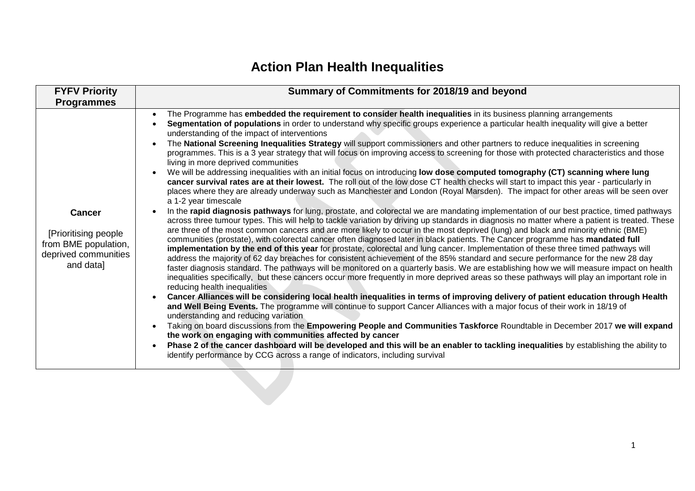## **Action Plan Health Inequalities**

| <b>Programmes</b><br>The Programme has embedded the requirement to consider health inequalities in its business planning arrangements<br>Segmentation of populations in order to understand why specific groups experience a particular health inequality will give a better<br>understanding of the impact of interventions                                                                                                                                                                                                                                                                                                                                                                                                                                                                                                                                                                                                                                                                                                                                                                                                                                                                                                                                                                                                                                                                                                                                                                                                                                                                                                                                                                                                                                                                                                                                                                                                                                                                                                                                                                                                                                                                                                                                                                                                                                                                                                                                                                                                                                                                                                                                                                                                                                                               |  |
|--------------------------------------------------------------------------------------------------------------------------------------------------------------------------------------------------------------------------------------------------------------------------------------------------------------------------------------------------------------------------------------------------------------------------------------------------------------------------------------------------------------------------------------------------------------------------------------------------------------------------------------------------------------------------------------------------------------------------------------------------------------------------------------------------------------------------------------------------------------------------------------------------------------------------------------------------------------------------------------------------------------------------------------------------------------------------------------------------------------------------------------------------------------------------------------------------------------------------------------------------------------------------------------------------------------------------------------------------------------------------------------------------------------------------------------------------------------------------------------------------------------------------------------------------------------------------------------------------------------------------------------------------------------------------------------------------------------------------------------------------------------------------------------------------------------------------------------------------------------------------------------------------------------------------------------------------------------------------------------------------------------------------------------------------------------------------------------------------------------------------------------------------------------------------------------------------------------------------------------------------------------------------------------------------------------------------------------------------------------------------------------------------------------------------------------------------------------------------------------------------------------------------------------------------------------------------------------------------------------------------------------------------------------------------------------------------------------------------------------------------------------------------------------------|--|
|                                                                                                                                                                                                                                                                                                                                                                                                                                                                                                                                                                                                                                                                                                                                                                                                                                                                                                                                                                                                                                                                                                                                                                                                                                                                                                                                                                                                                                                                                                                                                                                                                                                                                                                                                                                                                                                                                                                                                                                                                                                                                                                                                                                                                                                                                                                                                                                                                                                                                                                                                                                                                                                                                                                                                                                            |  |
| The National Screening Inequalities Strategy will support commissioners and other partners to reduce inequalities in screening<br>programmes. This is a 3 year strategy that will focus on improving access to screening for those with protected characteristics and those<br>living in more deprived communities<br>We will be addressing inequalities with an initial focus on introducing low dose computed tomography (CT) scanning where lung<br>cancer survival rates are at their lowest. The roll out of the low dose CT health checks will start to impact this year - particularly in<br>places where they are already underway such as Manchester and London (Royal Marsden). The impact for other areas will be seen over<br>a 1-2 year timescale<br>In the rapid diagnosis pathways for lung, prostate, and colorectal we are mandating implementation of our best practice, timed pathways<br><b>Cancer</b><br>across three tumour types. This will help to tackle variation by driving up standards in diagnosis no matter where a patient is treated. These<br>are three of the most common cancers and are more likely to occur in the most deprived (lung) and black and minority ethnic (BME)<br>[Prioritising people]<br>communities (prostate), with colorectal cancer often diagnosed later in black patients. The Cancer programme has mandated full<br>from BME population,<br>implementation by the end of this year for prostate, colorectal and lung cancer. Implementation of these three timed pathways will<br>deprived communities<br>address the majority of 62 day breaches for consistent achievement of the 85% standard and secure performance for the new 28 day<br>and data]<br>faster diagnosis standard. The pathways will be monitored on a quarterly basis. We are establishing how we will measure impact on health<br>inequalities specifically, but these cancers occur more frequently in more deprived areas so these pathways will play an important role in<br>reducing health inequalities<br>Cancer Alliances will be considering local health inequalities in terms of improving delivery of patient education through Health<br>and Well Being Events. The programme will continue to support Cancer Alliances with a major focus of their work in 18/19 of<br>understanding and reducing variation<br>Taking on board discussions from the Empowering People and Communities Taskforce Roundtable in December 2017 we will expand<br>$\bullet$<br>the work on engaging with communities affected by cancer<br>Phase 2 of the cancer dashboard will be developed and this will be an enabler to tackling inequalities by establishing the ability to<br>identify performance by CCG across a range of indicators, including survival |  |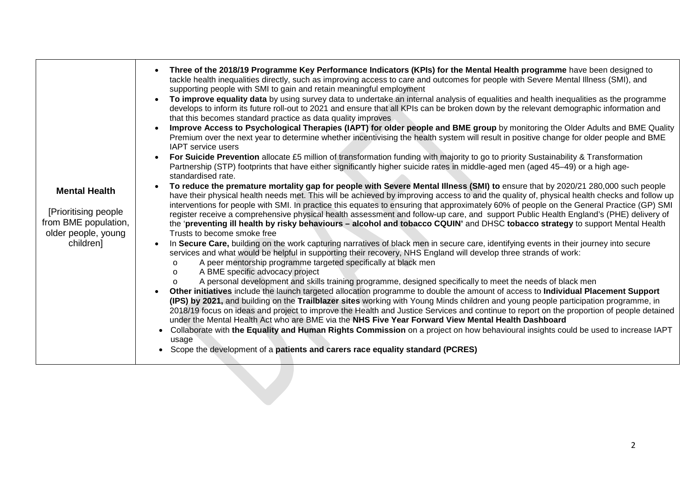| <b>Mental Health</b><br>[Prioritising people]<br>from BME population,<br>older people, young<br>children] | Three of the 2018/19 Programme Key Performance Indicators (KPIs) for the Mental Health programme have been designed to<br>$\bullet$<br>tackle health inequalities directly, such as improving access to care and outcomes for people with Severe Mental Illness (SMI), and<br>supporting people with SMI to gain and retain meaningful employment<br>To improve equality data by using survey data to undertake an internal analysis of equalities and health inequalities as the programme<br>develops to inform its future roll-out to 2021 and ensure that all KPIs can be broken down by the relevant demographic information and<br>that this becomes standard practice as data quality improves<br>Improve Access to Psychological Therapies (IAPT) for older people and BME group by monitoring the Older Adults and BME Quality<br>Premium over the next year to determine whether incentivising the health system will result in positive change for older people and BME<br><b>IAPT</b> service users<br>For Suicide Prevention allocate £5 million of transformation funding with majority to go to priority Sustainability & Transformation<br>$\bullet$<br>Partnership (STP) footprints that have either significantly higher suicide rates in middle-aged men (aged 45-49) or a high age-<br>standardised rate.<br>To reduce the premature mortality gap for people with Severe Mental Illness (SMI) to ensure that by 2020/21 280,000 such people<br>have their physical health needs met. This will be achieved by improving access to and the quality of, physical health checks and follow up<br>interventions for people with SMI. In practice this equates to ensuring that approximately 60% of people on the General Practice (GP) SMI<br>register receive a comprehensive physical health assessment and follow-up care, and support Public Health England's (PHE) delivery of<br>the 'preventing ill health by risky behaviours - alcohol and tobacco CQUIN' and DHSC tobacco strategy to support Mental Health<br>Trusts to become smoke free<br>In Secure Care, building on the work capturing narratives of black men in secure care, identifying events in their journey into secure<br>services and what would be helpful in supporting their recovery, NHS England will develop three strands of work:<br>A peer mentorship programme targeted specifically at black men<br>$\circ$<br>A BME specific advocacy project<br>$\circ$<br>A personal development and skills training programme, designed specifically to meet the needs of black men<br>Other initiatives include the launch targeted allocation programme to double the amount of access to Individual Placement Support<br>(IPS) by 2021, and building on the Trailblazer sites working with Young Minds children and young people participation programme, in<br>2018/19 focus on ideas and project to improve the Health and Justice Services and continue to report on the proportion of people detained<br>under the Mental Health Act who are BME via the NHS Five Year Forward View Mental Health Dashboard<br>Collaborate with the Equality and Human Rights Commission on a project on how behavioural insights could be used to increase IAPT<br>usage |
|-----------------------------------------------------------------------------------------------------------|------------------------------------------------------------------------------------------------------------------------------------------------------------------------------------------------------------------------------------------------------------------------------------------------------------------------------------------------------------------------------------------------------------------------------------------------------------------------------------------------------------------------------------------------------------------------------------------------------------------------------------------------------------------------------------------------------------------------------------------------------------------------------------------------------------------------------------------------------------------------------------------------------------------------------------------------------------------------------------------------------------------------------------------------------------------------------------------------------------------------------------------------------------------------------------------------------------------------------------------------------------------------------------------------------------------------------------------------------------------------------------------------------------------------------------------------------------------------------------------------------------------------------------------------------------------------------------------------------------------------------------------------------------------------------------------------------------------------------------------------------------------------------------------------------------------------------------------------------------------------------------------------------------------------------------------------------------------------------------------------------------------------------------------------------------------------------------------------------------------------------------------------------------------------------------------------------------------------------------------------------------------------------------------------------------------------------------------------------------------------------------------------------------------------------------------------------------------------------------------------------------------------------------------------------------------------------------------------------------------------------------------------------------------------------------------------------------------------------------------------------------------------------------------------------------------------------------------------------------------------------------------------------------------------------------------------------------------------------------------------------------------------------------------------------------------------------------------------------------------------------------------------------------------------------------------------------------------------------------------------------------|
|                                                                                                           | • Scope the development of a patients and carers race equality standard (PCRES)                                                                                                                                                                                                                                                                                                                                                                                                                                                                                                                                                                                                                                                                                                                                                                                                                                                                                                                                                                                                                                                                                                                                                                                                                                                                                                                                                                                                                                                                                                                                                                                                                                                                                                                                                                                                                                                                                                                                                                                                                                                                                                                                                                                                                                                                                                                                                                                                                                                                                                                                                                                                                                                                                                                                                                                                                                                                                                                                                                                                                                                                                                                                                                            |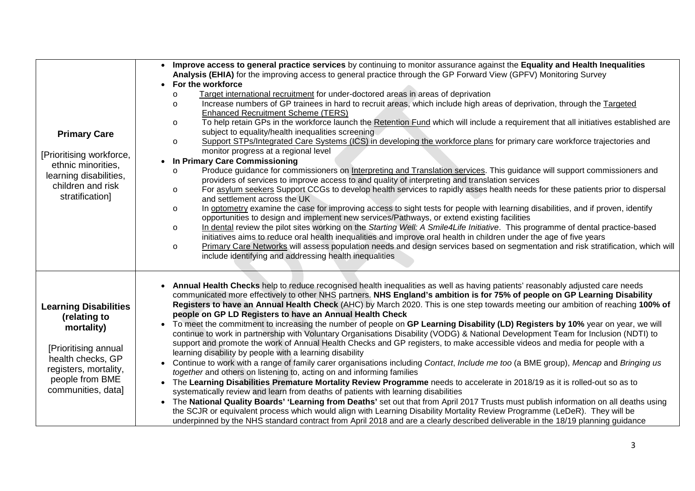| <b>Primary Care</b><br>[Prioritising workforce,<br>ethnic minorities,<br>learning disabilities,<br>children and risk<br>stratification]                                   | Improve access to general practice services by continuing to monitor assurance against the Equality and Health Inequalities<br>$\bullet$<br>Analysis (EHIA) for the improving access to general practice through the GP Forward View (GPFV) Monitoring Survey<br>For the workforce<br>$\bullet$<br>Target international recruitment for under-doctored areas in areas of deprivation<br>$\circ$<br>Increase numbers of GP trainees in hard to recruit areas, which include high areas of deprivation, through the Targeted<br>$\circ$<br><b>Enhanced Recruitment Scheme (TERS)</b><br>To help retain GPs in the workforce launch the Retention Fund which will include a requirement that all initiatives established are<br>$\circ$<br>subject to equality/health inequalities screening<br>Support STPs/Integrated Care Systems (ICS) in developing the workforce plans for primary care workforce trajectories and<br>$\circ$<br>monitor progress at a regional level<br>• In Primary Care Commissioning<br>Produce guidance for commissioners on Interpreting and Translation services. This guidance will support commissioners and<br>$\circ$<br>providers of services to improve access to and quality of interpreting and translation services<br>For asylum seekers Support CCGs to develop health services to rapidly asses health needs for these patients prior to dispersal<br>$\circ$<br>and settlement across the UK<br>In optometry examine the case for improving access to sight tests for people with learning disabilities, and if proven, identify<br>$\circ$<br>opportunities to design and implement new services/Pathways, or extend existing facilities<br>In dental review the pilot sites working on the Starting Well: A Smile4Life Initiative. This programme of dental practice-based<br>$\circ$<br>initiatives aims to reduce oral health inequalities and improve oral health in children under the age of five years<br>Primary Care Networks will assess population needs and design services based on segmentation and risk stratification, which will<br>$\circ$<br>include identifying and addressing health inequalities |
|---------------------------------------------------------------------------------------------------------------------------------------------------------------------------|----------------------------------------------------------------------------------------------------------------------------------------------------------------------------------------------------------------------------------------------------------------------------------------------------------------------------------------------------------------------------------------------------------------------------------------------------------------------------------------------------------------------------------------------------------------------------------------------------------------------------------------------------------------------------------------------------------------------------------------------------------------------------------------------------------------------------------------------------------------------------------------------------------------------------------------------------------------------------------------------------------------------------------------------------------------------------------------------------------------------------------------------------------------------------------------------------------------------------------------------------------------------------------------------------------------------------------------------------------------------------------------------------------------------------------------------------------------------------------------------------------------------------------------------------------------------------------------------------------------------------------------------------------------------------------------------------------------------------------------------------------------------------------------------------------------------------------------------------------------------------------------------------------------------------------------------------------------------------------------------------------------------------------------------------------------------------------------------------------------------------------------------------------------|
| <b>Learning Disabilities</b><br>(relating to<br>mortality)<br>[Prioritising annual<br>health checks, GP<br>registers, mortality,<br>people from BME<br>communities, data] | • Annual Health Checks help to reduce recognised health inequalities as well as having patients' reasonably adjusted care needs<br>communicated more effectively to other NHS partners. NHS England's ambition is for 75% of people on GP Learning Disability<br>Registers to have an Annual Health Check (AHC) by March 2020. This is one step towards meeting our ambition of reaching 100% of<br>people on GP LD Registers to have an Annual Health Check<br>To meet the commitment to increasing the number of people on GP Learning Disability (LD) Registers by 10% year on year, we will<br>continue to work in partnership with Voluntary Organisations Disability (VODG) & National Development Team for Inclusion (NDTI) to<br>support and promote the work of Annual Health Checks and GP registers, to make accessible videos and media for people with a<br>learning disability by people with a learning disability<br>Continue to work with a range of family carer organisations including Contact, Include me too (a BME group), Mencap and Bringing us<br>$\bullet$<br>together and others on listening to, acting on and informing families<br>• The Learning Disabilities Premature Mortality Review Programme needs to accelerate in 2018/19 as it is rolled-out so as to<br>systematically review and learn from deaths of patients with learning disabilities<br>• The National Quality Boards' 'Learning from Deaths' set out that from April 2017 Trusts must publish information on all deaths using<br>the SCJR or equivalent process which would align with Learning Disability Mortality Review Programme (LeDeR). They will be<br>underpinned by the NHS standard contract from April 2018 and are a clearly described deliverable in the 18/19 planning guidance                                                                                                                                                                                                                                                                                                                                                                |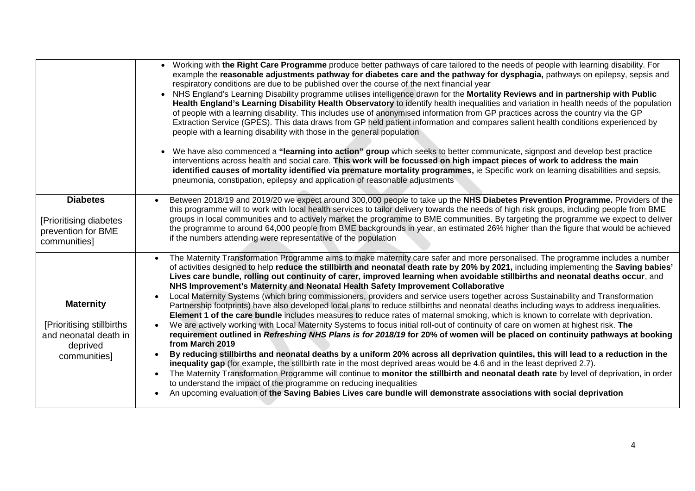|                                                                                                     | • Working with the Right Care Programme produce better pathways of care tailored to the needs of people with learning disability. For<br>example the reasonable adjustments pathway for diabetes care and the pathway for dysphagia, pathways on epilepsy, sepsis and<br>respiratory conditions are due to be published over the course of the next financial year<br>• NHS England's Learning Disability programme utilises intelligence drawn for the Mortality Reviews and in partnership with Public<br>Health England's Learning Disability Health Observatory to identify health inequalities and variation in health needs of the population<br>of people with a learning disability. This includes use of anonymised information from GP practices across the country via the GP<br>Extraction Service (GPES). This data draws from GP held patient information and compares salient health conditions experienced by<br>people with a learning disability with those in the general population<br>• We have also commenced a "learning into action" group which seeks to better communicate, signpost and develop best practice<br>interventions across health and social care. This work will be focussed on high impact pieces of work to address the main<br>identified causes of mortality identified via premature mortality programmes, ie Specific work on learning disabilities and sepsis,<br>pneumonia, constipation, epilepsy and application of reasonable adjustments                                                                                                                                                                                                                                                                                                                                   |
|-----------------------------------------------------------------------------------------------------|-------------------------------------------------------------------------------------------------------------------------------------------------------------------------------------------------------------------------------------------------------------------------------------------------------------------------------------------------------------------------------------------------------------------------------------------------------------------------------------------------------------------------------------------------------------------------------------------------------------------------------------------------------------------------------------------------------------------------------------------------------------------------------------------------------------------------------------------------------------------------------------------------------------------------------------------------------------------------------------------------------------------------------------------------------------------------------------------------------------------------------------------------------------------------------------------------------------------------------------------------------------------------------------------------------------------------------------------------------------------------------------------------------------------------------------------------------------------------------------------------------------------------------------------------------------------------------------------------------------------------------------------------------------------------------------------------------------------------------------------------------------------------------------------------------------------------------|
| <b>Diabetes</b>                                                                                     | Between 2018/19 and 2019/20 we expect around 300,000 people to take up the NHS Diabetes Prevention Programme. Providers of the                                                                                                                                                                                                                                                                                                                                                                                                                                                                                                                                                                                                                                                                                                                                                                                                                                                                                                                                                                                                                                                                                                                                                                                                                                                                                                                                                                                                                                                                                                                                                                                                                                                                                                |
| [Prioritising diabetes<br>prevention for BME<br>communities]                                        | this programme will to work with local health services to tailor delivery towards the needs of high risk groups, including people from BME<br>groups in local communities and to actively market the programme to BME communities. By targeting the programme we expect to deliver<br>the programme to around 64,000 people from BME backgrounds in year, an estimated 26% higher than the figure that would be achieved<br>if the numbers attending were representative of the population                                                                                                                                                                                                                                                                                                                                                                                                                                                                                                                                                                                                                                                                                                                                                                                                                                                                                                                                                                                                                                                                                                                                                                                                                                                                                                                                    |
| <b>Maternity</b><br>[Prioritising stillbirths]<br>and neonatal death in<br>deprived<br>communities] | The Maternity Transformation Programme aims to make maternity care safer and more personalised. The programme includes a number<br>of activities designed to help reduce the stillbirth and neonatal death rate by 20% by 2021, including implementing the Saving babies'<br>Lives care bundle, rolling out continuity of carer, improved learning when avoidable stillbirths and neonatal deaths occur, and<br>NHS Improvement's Maternity and Neonatal Health Safety Improvement Collaborative<br>Local Maternity Systems (which bring commissioners, providers and service users together across Sustainability and Transformation<br>Partnership footprints) have also developed local plans to reduce stillbirths and neonatal deaths including ways to address inequalities.<br>Element 1 of the care bundle includes measures to reduce rates of maternal smoking, which is known to correlate with deprivation.<br>We are actively working with Local Maternity Systems to focus initial roll-out of continuity of care on women at highest risk. The<br>requirement outlined in Refreshing NHS Plans is for 2018/19 for 20% of women will be placed on continuity pathways at booking<br>from March 2019<br>By reducing stillbirths and neonatal deaths by a uniform 20% across all deprivation quintiles, this will lead to a reduction in the<br>inequality gap (for example, the stillbirth rate in the most deprived areas would be 4.6 and in the least deprived 2.7).<br>The Maternity Transformation Programme will continue to monitor the stillbirth and neonatal death rate by level of deprivation, in order<br>to understand the impact of the programme on reducing inequalities<br>An upcoming evaluation of the Saving Babies Lives care bundle will demonstrate associations with social deprivation |
|                                                                                                     |                                                                                                                                                                                                                                                                                                                                                                                                                                                                                                                                                                                                                                                                                                                                                                                                                                                                                                                                                                                                                                                                                                                                                                                                                                                                                                                                                                                                                                                                                                                                                                                                                                                                                                                                                                                                                               |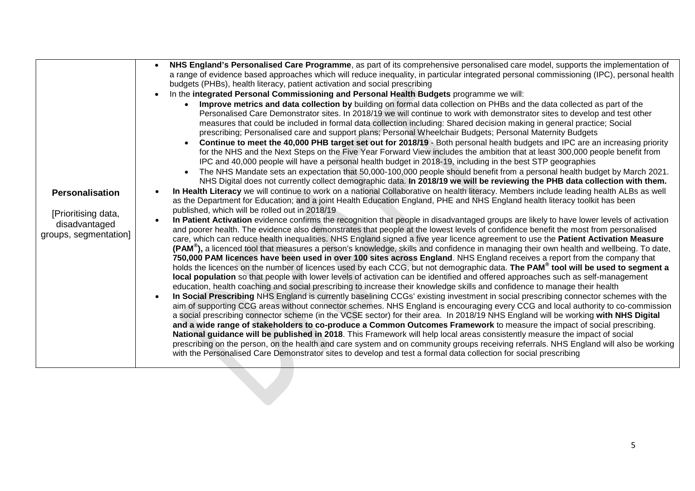|                        | NHS England's Personalised Care Programme, as part of its comprehensive personalised care model, supports the implementation of                                                                                                                                                           |
|------------------------|-------------------------------------------------------------------------------------------------------------------------------------------------------------------------------------------------------------------------------------------------------------------------------------------|
|                        | a range of evidence based approaches which will reduce inequality, in particular integrated personal commissioning (IPC), personal health                                                                                                                                                 |
|                        | budgets (PHBs), health literacy, patient activation and social prescribing                                                                                                                                                                                                                |
|                        | In the integrated Personal Commissioning and Personal Health Budgets programme we will:                                                                                                                                                                                                   |
|                        | Improve metrics and data collection by building on formal data collection on PHBs and the data collected as part of the                                                                                                                                                                   |
|                        | Personalised Care Demonstrator sites. In 2018/19 we will continue to work with demonstrator sites to develop and test other                                                                                                                                                               |
|                        | measures that could be included in formal data collection including: Shared decision making in general practice; Social                                                                                                                                                                   |
|                        | prescribing; Personalised care and support plans; Personal Wheelchair Budgets; Personal Maternity Budgets                                                                                                                                                                                 |
|                        | Continue to meet the 40,000 PHB target set out for 2018/19 - Both personal health budgets and IPC are an increasing priority                                                                                                                                                              |
|                        | for the NHS and the Next Steps on the Five Year Forward View includes the ambition that at least 300,000 people benefit from                                                                                                                                                              |
|                        | IPC and 40,000 people will have a personal health budget in 2018-19, including in the best STP geographies                                                                                                                                                                                |
|                        | The NHS Mandate sets an expectation that 50,000-100,000 people should benefit from a personal health budget by March 2021.                                                                                                                                                                |
|                        | NHS Digital does not currently collect demographic data. In 2018/19 we will be reviewing the PHB data collection with them.                                                                                                                                                               |
| <b>Personalisation</b> | In Health Literacy we will continue to work on a national Collaborative on health literacy. Members include leading health ALBs as well                                                                                                                                                   |
|                        | as the Department for Education; and a joint Health Education England, PHE and NHS England health literacy toolkit has been                                                                                                                                                               |
| [Prioritising data,    | published, which will be rolled out in 2018/19                                                                                                                                                                                                                                            |
| disadvantaged          | In Patient Activation evidence confirms the recognition that people in disadvantaged groups are likely to have lower levels of activation                                                                                                                                                 |
| groups, segmentation]  | and poorer health. The evidence also demonstrates that people at the lowest levels of confidence benefit the most from personalised                                                                                                                                                       |
|                        | care, which can reduce health inequalities. NHS England signed a five year licence agreement to use the Patient Activation Measure<br>(PAM <sup>®</sup> ), a licenced tool that measures a person's knowledge, skills and confidence in managing their own health and wellbeing. To date, |
|                        | 750,000 PAM licences have been used in over 100 sites across England. NHS England receives a report from the company that                                                                                                                                                                 |
|                        | holds the licences on the number of licences used by each CCG, but not demographic data. The PAM <sup>®</sup> tool will be used to segment a                                                                                                                                              |
|                        | local population so that people with lower levels of activation can be identified and offered approaches such as self-management                                                                                                                                                          |
|                        | education, health coaching and social prescribing to increase their knowledge skills and confidence to manage their health                                                                                                                                                                |
|                        | In Social Prescribing NHS England is currently baselining CCGs' existing investment in social prescribing connector schemes with the                                                                                                                                                      |
|                        | aim of supporting CCG areas without connector schemes. NHS England is encouraging every CCG and local authority to co-commission                                                                                                                                                          |
|                        | a social prescribing connector scheme (in the VCSE sector) for their area. In 2018/19 NHS England will be working with NHS Digital                                                                                                                                                        |
|                        | and a wide range of stakeholders to co-produce a Common Outcomes Framework to measure the impact of social prescribing.                                                                                                                                                                   |
|                        | National guidance will be published in 2018. This Framework will help local areas consistently measure the impact of social                                                                                                                                                               |
|                        | prescribing on the person, on the health and care system and on community groups receiving referrals. NHS England will also be working                                                                                                                                                    |
|                        | with the Personalised Care Demonstrator sites to develop and test a formal data collection for social prescribing                                                                                                                                                                         |
|                        |                                                                                                                                                                                                                                                                                           |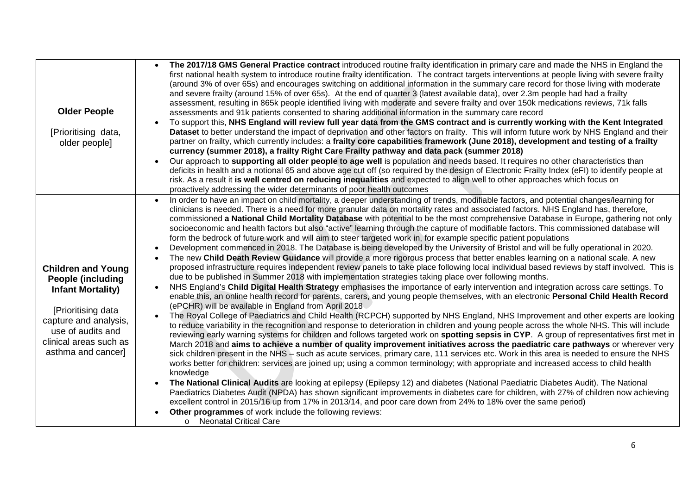| <b>Older People</b><br>[Prioritising data,<br>older people]                                                                                                                                            | The 2017/18 GMS General Practice contract introduced routine frailty identification in primary care and made the NHS in England the<br>first national health system to introduce routine frailty identification. The contract targets interventions at people living with severe frailty<br>(around 3% of over 65s) and encourages switching on additional information in the summary care record for those living with moderate<br>and severe frailty (around 15% of over 65s). At the end of quarter 3 (latest available data), over 2.3m people had had a frailty<br>assessment, resulting in 865k people identified living with moderate and severe frailty and over 150k medications reviews, 71k falls<br>assessments and 91k patients consented to sharing additional information in the summary care record<br>To support this, NHS England will review full year data from the GMS contract and is currently working with the Kent Integrated<br>Dataset to better understand the impact of deprivation and other factors on frailty. This will inform future work by NHS England and their<br>partner on frailty, which currently includes: a frailty core capabilities framework (June 2018), development and testing of a frailty<br>currency (summer 2018), a frailty Right Care Frailty pathway and data pack (summer 2018)<br>Our approach to supporting all older people to age well is population and needs based. It requires no other characteristics than<br>deficits in health and a notional 65 and above age cut off (so required by the design of Electronic Frailty Index (eFI) to identify people at<br>risk. As a result it is well centred on reducing inequalities and expected to align well to other approaches which focus on<br>proactively addressing the wider determinants of poor health outcomes                                                                                                                                                                                                                                                                                                                                                                                                                                                                                                                                                                                                                                                                                                                                                                                                                                                                                                                                                                                                                                                                                        |
|--------------------------------------------------------------------------------------------------------------------------------------------------------------------------------------------------------|-------------------------------------------------------------------------------------------------------------------------------------------------------------------------------------------------------------------------------------------------------------------------------------------------------------------------------------------------------------------------------------------------------------------------------------------------------------------------------------------------------------------------------------------------------------------------------------------------------------------------------------------------------------------------------------------------------------------------------------------------------------------------------------------------------------------------------------------------------------------------------------------------------------------------------------------------------------------------------------------------------------------------------------------------------------------------------------------------------------------------------------------------------------------------------------------------------------------------------------------------------------------------------------------------------------------------------------------------------------------------------------------------------------------------------------------------------------------------------------------------------------------------------------------------------------------------------------------------------------------------------------------------------------------------------------------------------------------------------------------------------------------------------------------------------------------------------------------------------------------------------------------------------------------------------------------------------------------------------------------------------------------------------------------------------------------------------------------------------------------------------------------------------------------------------------------------------------------------------------------------------------------------------------------------------------------------------------------------------------------------------------------------------------------------------------------------------------------------------------------------------------------------------------------------------------------------------------------------------------------------------------------------------------------------------------------------------------------------------------------------------------------------------------------------------------------------------------------------------------------------------------------------------------------------------|
| <b>Children and Young</b><br><b>People (including)</b><br><b>Infant Mortality)</b><br>[Prioritising data<br>capture and analysis,<br>use of audits and<br>clinical areas such as<br>asthma and cancer] | In order to have an impact on child mortality, a deeper understanding of trends, modifiable factors, and potential changes/learning for<br>clinicians is needed. There is a need for more granular data on mortality rates and associated factors. NHS England has, therefore,<br>commissioned a National Child Mortality Database with potential to be the most comprehensive Database in Europe, gathering not only<br>socioeconomic and health factors but also "active" learning through the capture of modifiable factors. This commissioned database will<br>form the bedrock of future work and will aim to steer targeted work in, for example specific patient populations<br>Development commenced in 2018. The Database is being developed by the University of Bristol and will be fully operational in 2020.<br>The new Child Death Review Guidance will provide a more rigorous process that better enables learning on a national scale. A new<br>proposed infrastructure requires independent review panels to take place following local individual based reviews by staff involved. This is<br>due to be published in Summer 2018 with implementation strategies taking place over following months.<br>NHS England's Child Digital Health Strategy emphasises the importance of early intervention and integration across care settings. To<br>enable this, an online health record for parents, carers, and young people themselves, with an electronic Personal Child Health Record<br>(ePCHR) will be available in England from April 2018<br>The Royal College of Paediatrics and Child Health (RCPCH) supported by NHS England, NHS Improvement and other experts are looking<br>to reduce variability in the recognition and response to deterioration in children and young people across the whole NHS. This will include<br>reviewing early warning systems for children and follows targeted work on spotting sepsis in CYP. A group of representatives first met in<br>March 2018 and aims to achieve a number of quality improvement initiatives across the paediatric care pathways or wherever very<br>sick children present in the NHS – such as acute services, primary care, 111 services etc. Work in this area is needed to ensure the NHS<br>works better for children: services are joined up; using a common terminology; with appropriate and increased access to child health<br>knowledge<br>The National Clinical Audits are looking at epilepsy (Epilepsy 12) and diabetes (National Paediatric Diabetes Audit). The National<br>Paediatrics Diabetes Audit (NPDA) has shown significant improvements in diabetes care for children, with 27% of children now achieving<br>excellent control in 2015/16 up from 17% in 2013/14, and poor care down from 24% to 18% over the same period)<br>Other programmes of work include the following reviews:<br>o Neonatal Critical Care |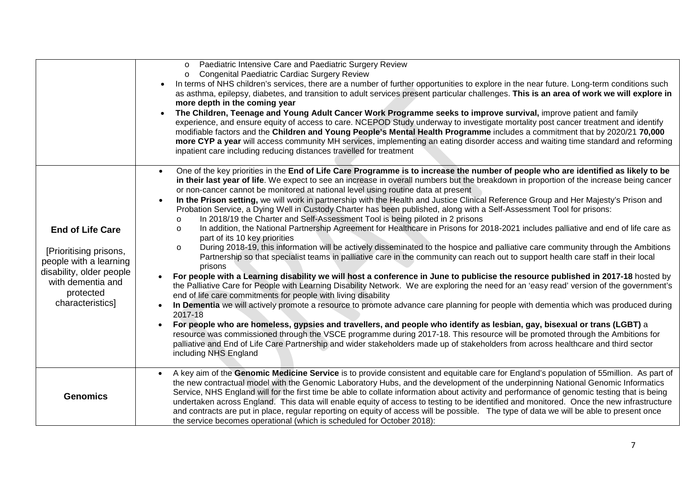|                                                                                                                                                               | Paediatric Intensive Care and Paediatric Surgery Review<br>$\circ$<br><b>Congenital Paediatric Cardiac Surgery Review</b><br>$\circ$<br>In terms of NHS children's services, there are a number of further opportunities to explore in the near future. Long-term conditions such<br>as asthma, epilepsy, diabetes, and transition to adult services present particular challenges. This is an area of work we will explore in<br>more depth in the coming year<br>The Children, Teenage and Young Adult Cancer Work Programme seeks to improve survival, improve patient and family<br>$\bullet$<br>experience, and ensure equity of access to care. NCEPOD Study underway to investigate mortality post cancer treatment and identify<br>modifiable factors and the Children and Young People's Mental Health Programme includes a commitment that by 2020/21 70,000<br>more CYP a year will access community MH services, implementing an eating disorder access and waiting time standard and reforming<br>inpatient care including reducing distances travelled for treatment                                                                                                                                                                                                                                                                                                                                                                                                                                                                                                                                                                                                                                                                                                                                                                                                                                                                                                                                                                                                                                                                |
|---------------------------------------------------------------------------------------------------------------------------------------------------------------|---------------------------------------------------------------------------------------------------------------------------------------------------------------------------------------------------------------------------------------------------------------------------------------------------------------------------------------------------------------------------------------------------------------------------------------------------------------------------------------------------------------------------------------------------------------------------------------------------------------------------------------------------------------------------------------------------------------------------------------------------------------------------------------------------------------------------------------------------------------------------------------------------------------------------------------------------------------------------------------------------------------------------------------------------------------------------------------------------------------------------------------------------------------------------------------------------------------------------------------------------------------------------------------------------------------------------------------------------------------------------------------------------------------------------------------------------------------------------------------------------------------------------------------------------------------------------------------------------------------------------------------------------------------------------------------------------------------------------------------------------------------------------------------------------------------------------------------------------------------------------------------------------------------------------------------------------------------------------------------------------------------------------------------------------------------------------------------------------------------------------------------------------|
| <b>End of Life Care</b><br>[Prioritising prisons,<br>people with a learning<br>disability, older people<br>with dementia and<br>protected<br>characteristics] | One of the key priorities in the End of Life Care Programme is to increase the number of people who are identified as likely to be<br>$\bullet$<br>in their last year of life. We expect to see an increase in overall numbers but the breakdown in proportion of the increase being cancer<br>or non-cancer cannot be monitored at national level using routine data at present<br>In the Prison setting, we will work in partnership with the Health and Justice Clinical Reference Group and Her Majesty's Prison and<br>Probation Service, a Dying Well in Custody Charter has been published, along with a Self-Assessment Tool for prisons:<br>In 2018/19 the Charter and Self-Assessment Tool is being piloted in 2 prisons<br>In addition, the National Partnership Agreement for Healthcare in Prisons for 2018-2021 includes palliative and end of life care as<br>O<br>part of its 10 key priorities<br>During 2018-19, this information will be actively disseminated to the hospice and palliative care community through the Ambitions<br>$\circ$<br>Partnership so that specialist teams in palliative care in the community can reach out to support health care staff in their local<br>prisons<br>For people with a Learning disability we will host a conference in June to publicise the resource published in 2017-18 hosted by<br>the Palliative Care for People with Learning Disability Network. We are exploring the need for an 'easy read' version of the government's<br>end of life care commitments for people with living disability<br>In Dementia we will actively promote a resource to promote advance care planning for people with dementia which was produced during<br>2017-18<br>For people who are homeless, gypsies and travellers, and people who identify as lesbian, gay, bisexual or trans (LGBT) a<br>resource was commissioned through the VSCE programme during 2017-18. This resource will be promoted through the Ambitions for<br>palliative and End of Life Care Partnership and wider stakeholders made up of stakeholders from across healthcare and third sector<br>including NHS England |
| <b>Genomics</b>                                                                                                                                               | A key aim of the Genomic Medicine Service is to provide consistent and equitable care for England's population of 55million. As part of<br>the new contractual model with the Genomic Laboratory Hubs, and the development of the underpinning National Genomic Informatics<br>Service, NHS England will for the first time be able to collate information about activity and performance of genomic testing that is being<br>undertaken across England. This data will enable equity of access to testing to be identified and monitored. Once the new infrastructure<br>and contracts are put in place, regular reporting on equity of access will be possible. The type of data we will be able to present once<br>the service becomes operational (which is scheduled for October 2018):                                                                                                                                                                                                                                                                                                                                                                                                                                                                                                                                                                                                                                                                                                                                                                                                                                                                                                                                                                                                                                                                                                                                                                                                                                                                                                                                                      |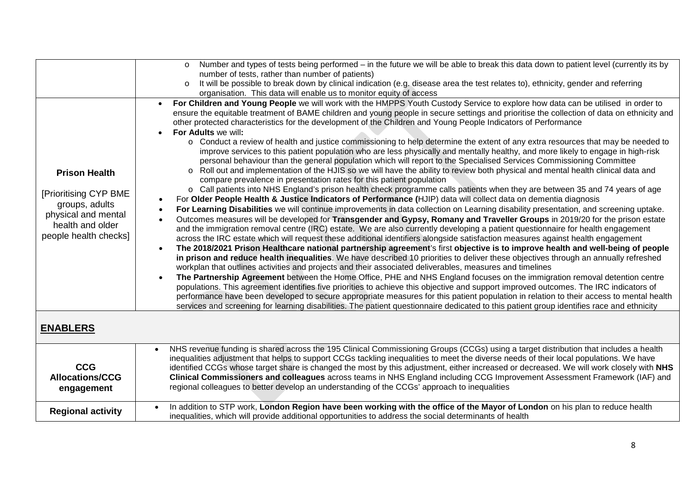|                                                                                                                                     | Number and types of tests being performed - in the future we will be able to break this data down to patient level (currently its by<br>$\circ$<br>number of tests, rather than number of patients)<br>It will be possible to break down by clinical indication (e.g. disease area the test relates to), ethnicity, gender and referring<br>$\circ$                                                                                                                                                                                                                                                                                                                                                                                                                                                                                                                                                                                                                                                                                                                                                                                                                                                                                                                                                                                                                                                                                                                                                                                                                                                                                                                                                                                                                                                                                                                                                                                                                                                                                                                                                                                                                                                                                                                                                                                                                                                                                                                                                                                                                                                                                                                                                                                                                                                                                                                    |
|-------------------------------------------------------------------------------------------------------------------------------------|------------------------------------------------------------------------------------------------------------------------------------------------------------------------------------------------------------------------------------------------------------------------------------------------------------------------------------------------------------------------------------------------------------------------------------------------------------------------------------------------------------------------------------------------------------------------------------------------------------------------------------------------------------------------------------------------------------------------------------------------------------------------------------------------------------------------------------------------------------------------------------------------------------------------------------------------------------------------------------------------------------------------------------------------------------------------------------------------------------------------------------------------------------------------------------------------------------------------------------------------------------------------------------------------------------------------------------------------------------------------------------------------------------------------------------------------------------------------------------------------------------------------------------------------------------------------------------------------------------------------------------------------------------------------------------------------------------------------------------------------------------------------------------------------------------------------------------------------------------------------------------------------------------------------------------------------------------------------------------------------------------------------------------------------------------------------------------------------------------------------------------------------------------------------------------------------------------------------------------------------------------------------------------------------------------------------------------------------------------------------------------------------------------------------------------------------------------------------------------------------------------------------------------------------------------------------------------------------------------------------------------------------------------------------------------------------------------------------------------------------------------------------------------------------------------------------------------------------------------------------|
|                                                                                                                                     | organisation. This data will enable us to monitor equity of access                                                                                                                                                                                                                                                                                                                                                                                                                                                                                                                                                                                                                                                                                                                                                                                                                                                                                                                                                                                                                                                                                                                                                                                                                                                                                                                                                                                                                                                                                                                                                                                                                                                                                                                                                                                                                                                                                                                                                                                                                                                                                                                                                                                                                                                                                                                                                                                                                                                                                                                                                                                                                                                                                                                                                                                                     |
| <b>Prison Health</b><br>[Prioritising CYP BME<br>groups, adults<br>physical and mental<br>health and older<br>people health checks] | For Children and Young People we will work with the HMPPS Youth Custody Service to explore how data can be utilised in order to<br>$\bullet$<br>ensure the equitable treatment of BAME children and young people in secure settings and prioritise the collection of data on ethnicity and<br>other protected characteristics for the development of the Children and Young People Indicators of Performance<br>For Adults we will:<br>o Conduct a review of health and justice commissioning to help determine the extent of any extra resources that may be needed to<br>improve services to this patient population who are less physically and mentally healthy, and more likely to engage in high-risk<br>personal behaviour than the general population which will report to the Specialised Services Commissioning Committee<br>○ Roll out and implementation of the HJIS so we will have the ability to review both physical and mental health clinical data and<br>compare prevalence in presentation rates for this patient population<br>○ Call patients into NHS England's prison health check programme calls patients when they are between 35 and 74 years of age<br>For Older People Health & Justice Indicators of Performance (HJIP) data will collect data on dementia diagnosis<br>$\bullet$<br>For Learning Disabilities we will continue improvements in data collection on Learning disability presentation, and screening uptake.<br>$\bullet$<br>Outcomes measures will be developed for Transgender and Gypsy, Romany and Traveller Groups in 2019/20 for the prison estate<br>$\bullet$<br>and the immigration removal centre (IRC) estate. We are also currently developing a patient questionnaire for health engagement<br>across the IRC estate which will request these additional identifiers alongside satisfaction measures against health engagement<br>The 2018/2021 Prison Healthcare national partnership agreement's first objective is to improve health and well-being of people<br>$\bullet$<br>in prison and reduce health inequalities. We have described 10 priorities to deliver these objectives through an annually refreshed<br>workplan that outlines activities and projects and their associated deliverables, measures and timelines<br>The Partnership Agreement between the Home Office, PHE and NHS England focuses on the immigration removal detention centre<br>$\bullet$<br>populations. This agreement identifies five priorities to achieve this objective and support improved outcomes. The IRC indicators of<br>performance have been developed to secure appropriate measures for this patient population in relation to their access to mental health<br>services and screening for learning disabilities. The patient questionnaire dedicated to this patient group identifies race and ethnicity |
| <b>ENABLERS</b>                                                                                                                     |                                                                                                                                                                                                                                                                                                                                                                                                                                                                                                                                                                                                                                                                                                                                                                                                                                                                                                                                                                                                                                                                                                                                                                                                                                                                                                                                                                                                                                                                                                                                                                                                                                                                                                                                                                                                                                                                                                                                                                                                                                                                                                                                                                                                                                                                                                                                                                                                                                                                                                                                                                                                                                                                                                                                                                                                                                                                        |
| <b>CCG</b><br><b>Allocations/CCG</b><br>engagement                                                                                  | NHS revenue funding is shared across the 195 Clinical Commissioning Groups (CCGs) using a target distribution that includes a health<br>inequalities adjustment that helps to support CCGs tackling inequalities to meet the diverse needs of their local populations. We have<br>identified CCGs whose target share is changed the most by this adjustment, either increased or decreased. We will work closely with NHS<br>Clinical Commissioners and colleagues across teams in NHS England including CCG Improvement Assessment Framework (IAF) and<br>regional colleagues to better develop an understanding of the CCGs' approach to inequalities                                                                                                                                                                                                                                                                                                                                                                                                                                                                                                                                                                                                                                                                                                                                                                                                                                                                                                                                                                                                                                                                                                                                                                                                                                                                                                                                                                                                                                                                                                                                                                                                                                                                                                                                                                                                                                                                                                                                                                                                                                                                                                                                                                                                                |
| <b>Regional activity</b>                                                                                                            | In addition to STP work, London Region have been working with the office of the Mayor of London on his plan to reduce health<br>inequalities, which will provide additional opportunities to address the social determinants of health                                                                                                                                                                                                                                                                                                                                                                                                                                                                                                                                                                                                                                                                                                                                                                                                                                                                                                                                                                                                                                                                                                                                                                                                                                                                                                                                                                                                                                                                                                                                                                                                                                                                                                                                                                                                                                                                                                                                                                                                                                                                                                                                                                                                                                                                                                                                                                                                                                                                                                                                                                                                                                 |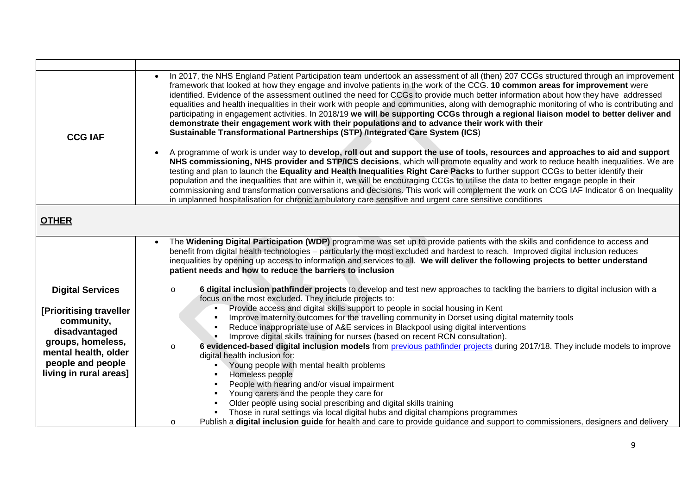| <b>CCG IAF</b>                                                                                                                                                                | In 2017, the NHS England Patient Participation team undertook an assessment of all (then) 207 CCGs structured through an improvement<br>framework that looked at how they engage and involve patients in the work of the CCG. 10 common areas for improvement were<br>identified. Evidence of the assessment outlined the need for CCGs to provide much better information about how they have addressed<br>equalities and health inequalities in their work with people and communities, along with demographic monitoring of who is contributing and<br>participating in engagement activities. In 2018/19 we will be supporting CCGs through a regional liaison model to better deliver and<br>demonstrate their engagement work with their populations and to advance their work with their<br>Sustainable Transformational Partnerships (STP) /Integrated Care System (ICS)<br>A programme of work is under way to develop, roll out and support the use of tools, resources and approaches to aid and support<br>NHS commissioning, NHS provider and STP/ICS decisions, which will promote equality and work to reduce health inequalities. We are<br>testing and plan to launch the Equality and Health Inequalities Right Care Packs to further support CCGs to better identify their<br>population and the inequalities that are within it, we will be encouraging CCGs to utilise the data to better engage people in their<br>commissioning and transformation conversations and decisions. This work will complement the work on CCG IAF Indicator 6 on Inequality                                                                                                       |
|-------------------------------------------------------------------------------------------------------------------------------------------------------------------------------|--------------------------------------------------------------------------------------------------------------------------------------------------------------------------------------------------------------------------------------------------------------------------------------------------------------------------------------------------------------------------------------------------------------------------------------------------------------------------------------------------------------------------------------------------------------------------------------------------------------------------------------------------------------------------------------------------------------------------------------------------------------------------------------------------------------------------------------------------------------------------------------------------------------------------------------------------------------------------------------------------------------------------------------------------------------------------------------------------------------------------------------------------------------------------------------------------------------------------------------------------------------------------------------------------------------------------------------------------------------------------------------------------------------------------------------------------------------------------------------------------------------------------------------------------------------------------------------------------------------------------------------------------------------------------------------|
|                                                                                                                                                                               | in unplanned hospitalisation for chronic ambulatory care sensitive and urgent care sensitive conditions                                                                                                                                                                                                                                                                                                                                                                                                                                                                                                                                                                                                                                                                                                                                                                                                                                                                                                                                                                                                                                                                                                                                                                                                                                                                                                                                                                                                                                                                                                                                                                              |
| <b>OTHER</b>                                                                                                                                                                  |                                                                                                                                                                                                                                                                                                                                                                                                                                                                                                                                                                                                                                                                                                                                                                                                                                                                                                                                                                                                                                                                                                                                                                                                                                                                                                                                                                                                                                                                                                                                                                                                                                                                                      |
| <b>Digital Services</b><br>[Prioritising traveller<br>community,<br>disadvantaged<br>groups, homeless,<br>mental health, older<br>people and people<br>living in rural areas] | The Widening Digital Participation (WDP) programme was set up to provide patients with the skills and confidence to access and<br>benefit from digital health technologies – particularly the most excluded and hardest to reach. Improved digital inclusion reduces<br>inequalities by opening up access to information and services to all. We will deliver the following projects to better understand<br>patient needs and how to reduce the barriers to inclusion<br>6 digital inclusion pathfinder projects to develop and test new approaches to tackling the barriers to digital inclusion with a<br>$\circ$<br>focus on the most excluded. They include projects to:<br>Provide access and digital skills support to people in social housing in Kent<br>Improve maternity outcomes for the travelling community in Dorset using digital maternity tools<br>Reduce inappropriate use of A&E services in Blackpool using digital interventions<br>Improve digital skills training for nurses (based on recent RCN consultation).<br>6 evidenced-based digital inclusion models from previous pathfinder projects during 2017/18. They include models to improve<br>$\circ$<br>digital health inclusion for:<br>Young people with mental health problems<br>Homeless people<br>People with hearing and/or visual impairment<br>Young carers and the people they care for<br>Older people using social prescribing and digital skills training<br>Those in rural settings via local digital hubs and digital champions programmes<br>Publish a digital inclusion guide for health and care to provide guidance and support to commissioners, designers and delivery<br>$\circ$ |